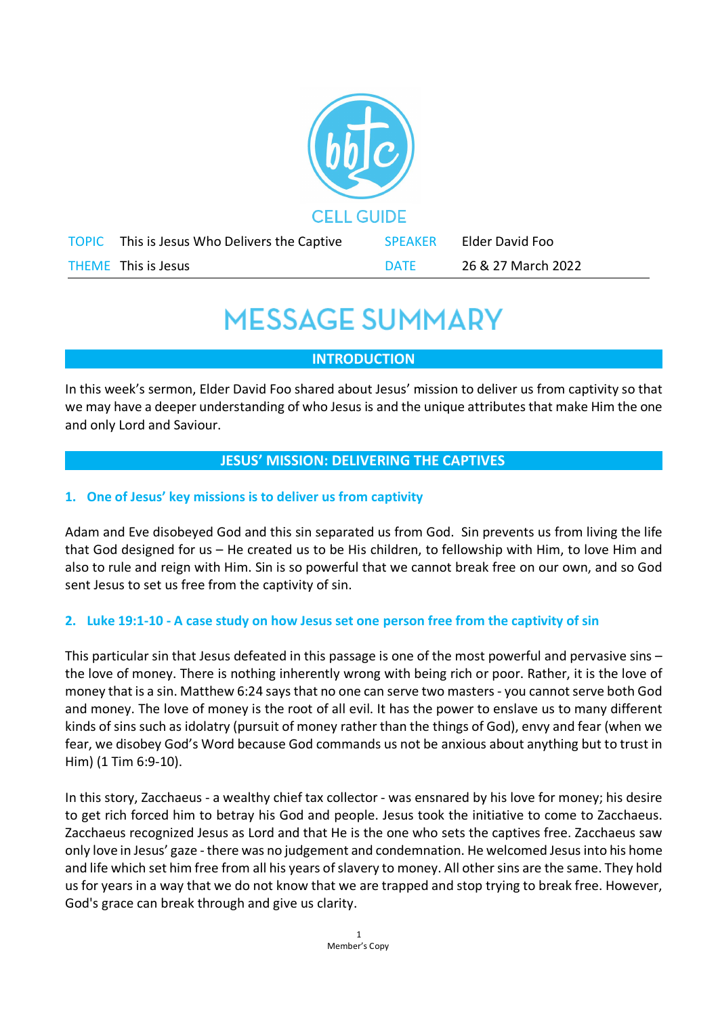

# **MESSAGE SUMMARY**

# **INTRODUCTION**

In this week's sermon, Elder David Foo shared about Jesus' mission to deliver us from captivity so that we may have a deeper understanding of who Jesus is and the unique attributes that make Him the one and only Lord and Saviour.

# **JESUS' MISSION: DELIVERING THE CAPTIVES**

### **1. One of Jesus' key missions is to deliver us from captivity**

Adam and Eve disobeyed God and this sin separated us from God. Sin prevents us from living the life that God designed for us – He created us to be His children, to fellowship with Him, to love Him and also to rule and reign with Him. Sin is so powerful that we cannot break free on our own, and so God sent Jesus to set us free from the captivity of sin.

#### **2. Luke 19:1-10 - A case study on how Jesus set one person free from the captivity of sin**

This particular sin that Jesus defeated in this passage is one of the most powerful and pervasive sins – the love of money. There is nothing inherently wrong with being rich or poor. Rather, it is the love of money that is a sin. Matthew 6:24 saysthat no one can serve two masters - you cannot serve both God and money. The love of money is the root of all evil. It has the power to enslave us to many different kinds of sins such as idolatry (pursuit of money rather than the things of God), envy and fear (when we fear, we disobey God's Word because God commands us not be anxious about anything but to trust in Him) (1 Tim 6:9-10).

In this story, Zacchaeus - a wealthy chief tax collector - was ensnared by his love for money; his desire to get rich forced him to betray his God and people. Jesus took the initiative to come to Zacchaeus. Zacchaeus recognized Jesus as Lord and that He is the one who sets the captives free. Zacchaeus saw only love in Jesus' gaze - there was no judgement and condemnation. He welcomed Jesus into his home and life which set him free from all his years of slavery to money. All other sins are the same. They hold us for years in a way that we do not know that we are trapped and stop trying to break free. However, God's grace can break through and give us clarity.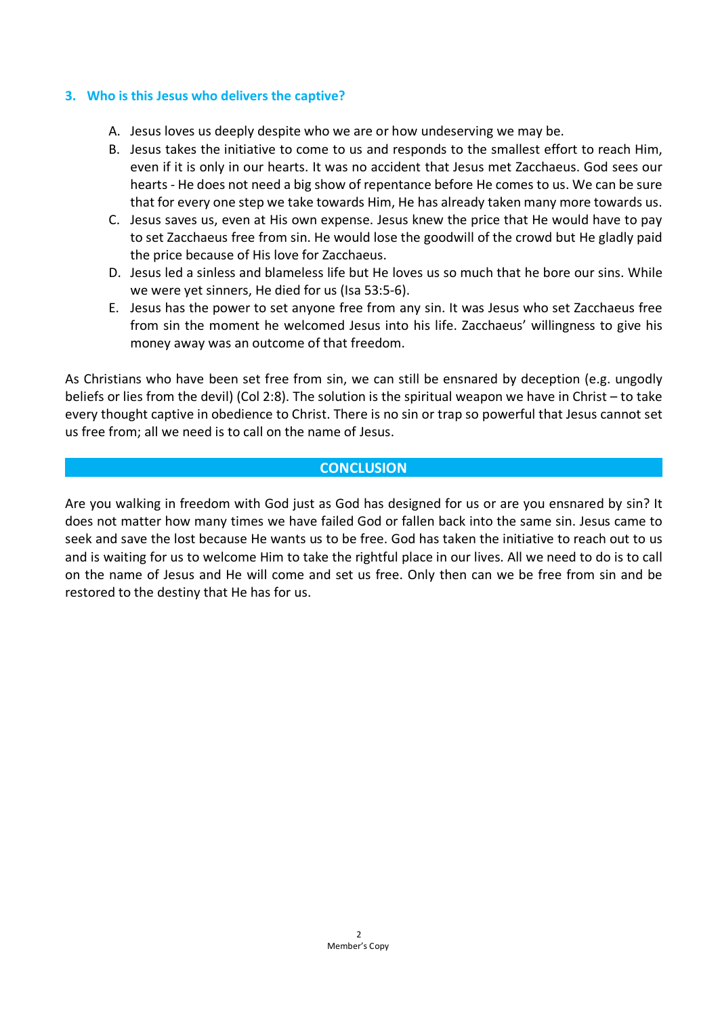#### **3. Who is this Jesus who delivers the captive?**

- A. Jesus loves us deeply despite who we are or how undeserving we may be.
- B. Jesus takes the initiative to come to us and responds to the smallest effort to reach Him, even if it is only in our hearts. It was no accident that Jesus met Zacchaeus. God sees our hearts - He does not need a big show of repentance before He comes to us. We can be sure that for every one step we take towards Him, He has already taken many more towards us.
- C. Jesus saves us, even at His own expense. Jesus knew the price that He would have to pay to set Zacchaeus free from sin. He would lose the goodwill of the crowd but He gladly paid the price because of His love for Zacchaeus.
- D. Jesus led a sinless and blameless life but He loves us so much that he bore our sins. While we were yet sinners, He died for us (Isa 53:5-6).
- E. Jesus has the power to set anyone free from any sin. It was Jesus who set Zacchaeus free from sin the moment he welcomed Jesus into his life. Zacchaeus' willingness to give his money away was an outcome of that freedom.

As Christians who have been set free from sin, we can still be ensnared by deception (e.g. ungodly beliefs or lies from the devil) (Col 2:8). The solution is the spiritual weapon we have in Christ – to take every thought captive in obedience to Christ. There is no sin or trap so powerful that Jesus cannot set us free from; all we need is to call on the name of Jesus.

#### **CONCLUSION**

Are you walking in freedom with God just as God has designed for us or are you ensnared by sin? It does not matter how many times we have failed God or fallen back into the same sin. Jesus came to seek and save the lost because He wants us to be free. God has taken the initiative to reach out to us and is waiting for us to welcome Him to take the rightful place in our lives. All we need to do is to call on the name of Jesus and He will come and set us free. Only then can we be free from sin and be restored to the destiny that He has for us.